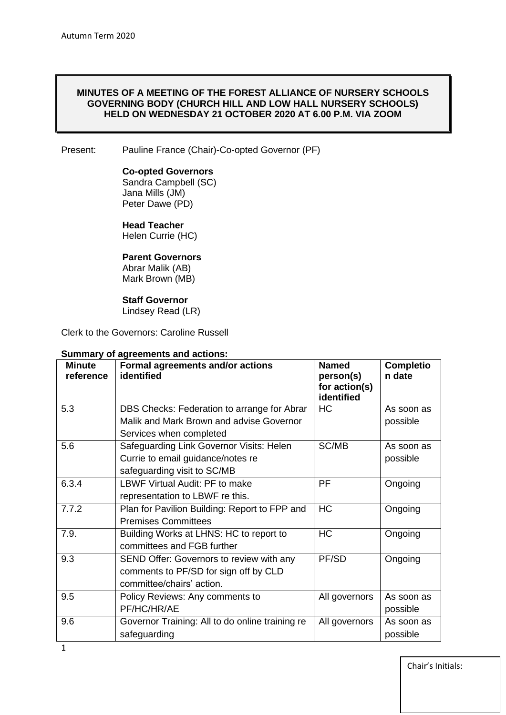#### **MINUTES OF A MEETING OF THE FOREST ALLIANCE OF NURSERY SCHOOLS GOVERNING BODY (CHURCH HILL AND LOW HALL NURSERY SCHOOLS) HELD ON WEDNESDAY 21 OCTOBER 2020 AT 6.00 P.M. VIA ZOOM**

#### Present: Pauline France (Chair)-Co-opted Governor (PF)

#### **Co-opted Governors**

Sandra Campbell (SC) Jana Mills (JM) Peter Dawe (PD)

#### **Head Teacher**

Helen Currie (HC)

# **Parent Governors**

Abrar Malik (AB) Mark Brown (MB)

#### **Staff Governor**

Lindsey Read (LR)

Clerk to the Governors: Caroline Russell

## **Summary of agreements and actions:**

| <b>Minute</b><br>reference | Formal agreements and/or actions<br>identified                                                                     | <b>Named</b><br>person(s)<br>for action(s)<br>identified | <b>Completio</b><br>n date |
|----------------------------|--------------------------------------------------------------------------------------------------------------------|----------------------------------------------------------|----------------------------|
| 5.3                        | DBS Checks: Federation to arrange for Abrar<br>Malik and Mark Brown and advise Governor<br>Services when completed | HC                                                       | As soon as<br>possible     |
| 5.6                        | Safeguarding Link Governor Visits: Helen<br>Currie to email guidance/notes re<br>safeguarding visit to SC/MB       | SC/MB                                                    | As soon as<br>possible     |
| 6.3.4                      | LBWF Virtual Audit: PF to make<br>representation to LBWF re this.                                                  | <b>PF</b>                                                | Ongoing                    |
| 7.7.2                      | Plan for Pavilion Building: Report to FPP and<br><b>Premises Committees</b>                                        | HC                                                       | Ongoing                    |
| 7.9.                       | Building Works at LHNS: HC to report to<br>committees and FGB further                                              | <b>HC</b>                                                | Ongoing                    |
| 9.3                        | SEND Offer: Governors to review with any<br>comments to PF/SD for sign off by CLD<br>committee/chairs' action.     | PF/SD                                                    | Ongoing                    |
| 9.5                        | Policy Reviews: Any comments to<br>PF/HC/HR/AE                                                                     | All governors                                            | As soon as<br>possible     |
| 9.6                        | Governor Training: All to do online training re<br>safeguarding                                                    | All governors                                            | As soon as<br>possible     |

Chair's Initials: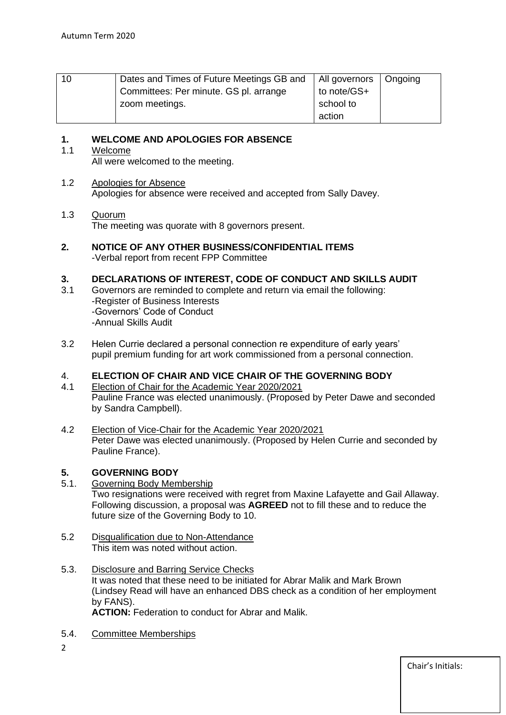| 10 | Dates and Times of Future Meetings GB and | All governors   Ongoing |  |
|----|-------------------------------------------|-------------------------|--|
|    | Committees: Per minute. GS pl. arrange    | to note/GS+             |  |
|    | zoom meetings.                            | school to               |  |
|    |                                           | action                  |  |

# **1. WELCOME AND APOLOGIES FOR ABSENCE**

## 1.1 Welcome

All were welcomed to the meeting.

## 1.2 Apologies for Absence

Apologies for absence were received and accepted from Sally Davey.

## 1.3 Quorum

The meeting was quorate with 8 governors present.

## **2. NOTICE OF ANY OTHER BUSINESS/CONFIDENTIAL ITEMS** -Verbal report from recent FPP Committee

# **3. DECLARATIONS OF INTEREST, CODE OF CONDUCT AND SKILLS AUDIT**

- 3.1 Governors are reminded to complete and return via email the following: -Register of Business Interests -Governors' Code of Conduct -Annual Skills Audit
- 3.2 Helen Currie declared a personal connection re expenditure of early years' pupil premium funding for art work commissioned from a personal connection.

# 4. **ELECTION OF CHAIR AND VICE CHAIR OF THE GOVERNING BODY**

- 4.1 Election of Chair for the Academic Year 2020/2021 Pauline France was elected unanimously. (Proposed by Peter Dawe and seconded by Sandra Campbell).
- 4.2 Election of Vice-Chair for the Academic Year 2020/2021 Peter Dawe was elected unanimously. (Proposed by Helen Currie and seconded by Pauline France).

# **5. GOVERNING BODY**

- 5.1. Governing Body Membership Two resignations were received with regret from Maxine Lafayette and Gail Allaway. Following discussion, a proposal was **AGREED** not to fill these and to reduce the future size of the Governing Body to 10.
- 5.2 Disqualification due to Non-Attendance This item was noted without action.
- 5.3. Disclosure and Barring Service Checks It was noted that these need to be initiated for Abrar Malik and Mark Brown (Lindsey Read will have an enhanced DBS check as a condition of her employment by FANS). **ACTION:** Federation to conduct for Abrar and Malik.
- 5.4. Committee Memberships
- $\overline{2}$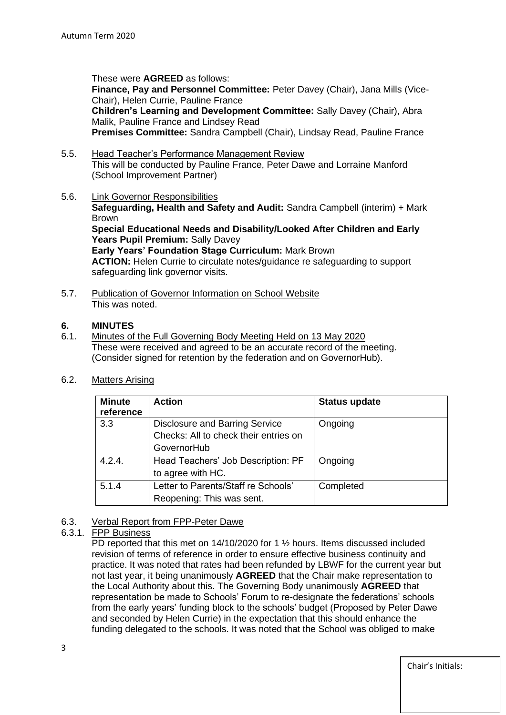These were **AGREED** as follows:

**Finance, Pay and Personnel Committee:** Peter Davey (Chair), Jana Mills (Vice-Chair), Helen Currie, Pauline France

**Children's Learning and Development Committee:** Sally Davey (Chair), Abra Malik, Pauline France and Lindsey Read

**Premises Committee:** Sandra Campbell (Chair), Lindsay Read, Pauline France

- 5.5. Head Teacher's Performance Management Review This will be conducted by Pauline France, Peter Dawe and Lorraine Manford (School Improvement Partner)
- 5.6. Link Governor Responsibilities **Safeguarding, Health and Safety and Audit:** Sandra Campbell (interim) + Mark Brown **Special Educational Needs and Disability/Looked After Children and Early**  Years Pupil Premium: Sally Davey **Early Years' Foundation Stage Curriculum:** Mark Brown **ACTION:** Helen Currie to circulate notes/guidance re safeguarding to support safeguarding link governor visits.
- 5.7. Publication of Governor Information on School Website This was noted.

## **6. MINUTES**

- 6.1. Minutes of the Full Governing Body Meeting Held on 13 May 2020 These were received and agreed to be an accurate record of the meeting. (Consider signed for retention by the federation and on GovernorHub).
- 6.2. Matters Arising

| <b>Minute</b><br>reference | <b>Action</b>                         | <b>Status update</b> |
|----------------------------|---------------------------------------|----------------------|
| 3.3                        | Disclosure and Barring Service        | Ongoing              |
|                            | Checks: All to check their entries on |                      |
|                            | GovernorHub                           |                      |
| 4.2.4.                     | Head Teachers' Job Description: PF    | Ongoing              |
|                            | to agree with HC.                     |                      |
| 5.1.4                      | Letter to Parents/Staff re Schools'   | Completed            |
|                            | Reopening: This was sent.             |                      |

# 6.3. Verbal Report from FPP-Peter Dawe

### 6.3.1. FPP Business

PD reported that this met on 14/10/2020 for 1  $\frac{1}{2}$  hours. Items discussed included revision of terms of reference in order to ensure effective business continuity and practice. It was noted that rates had been refunded by LBWF for the current year but not last year, it being unanimously **AGREED** that the Chair make representation to the Local Authority about this. The Governing Body unanimously **AGREED** that representation be made to Schools' Forum to re-designate the federations' schools from the early years' funding block to the schools' budget (Proposed by Peter Dawe and seconded by Helen Currie) in the expectation that this should enhance the funding delegated to the schools. It was noted that the School was obliged to make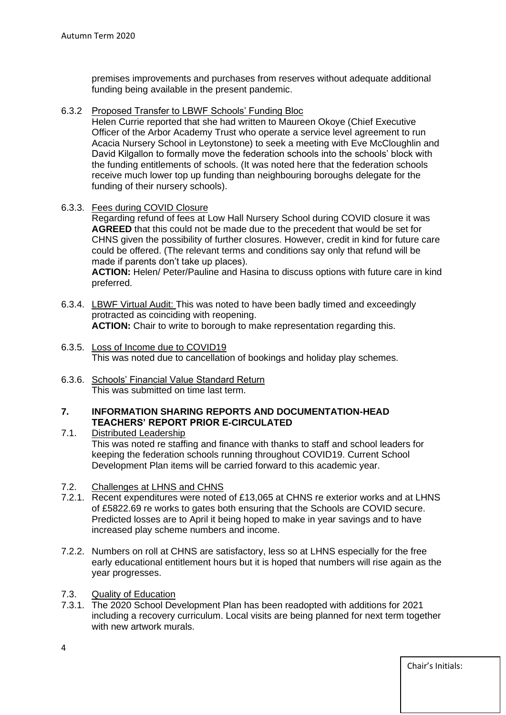premises improvements and purchases from reserves without adequate additional funding being available in the present pandemic.

6.3.2 Proposed Transfer to LBWF Schools' Funding Bloc

Helen Currie reported that she had written to Maureen Okoye (Chief Executive Officer of the Arbor Academy Trust who operate a service level agreement to run Acacia Nursery School in Leytonstone) to seek a meeting with Eve McCloughlin and David Kilgallon to formally move the federation schools into the schools' block with the funding entitlements of schools. (It was noted here that the federation schools receive much lower top up funding than neighbouring boroughs delegate for the funding of their nursery schools).

6.3.3. Fees during COVID Closure

Regarding refund of fees at Low Hall Nursery School during COVID closure it was **AGREED** that this could not be made due to the precedent that would be set for CHNS given the possibility of further closures. However, credit in kind for future care could be offered. (The relevant terms and conditions say only that refund will be made if parents don't take up places).

**ACTION:** Helen/ Peter/Pauline and Hasina to discuss options with future care in kind preferred.

- 6.3.4. LBWF Virtual Audit: This was noted to have been badly timed and exceedingly protracted as coinciding with reopening. **ACTION:** Chair to write to borough to make representation regarding this.
- 6.3.5. Loss of Income due to COVID19 This was noted due to cancellation of bookings and holiday play schemes.
- 6.3.6. Schools' Financial Value Standard Return This was submitted on time last term.

### **7. INFORMATION SHARING REPORTS AND DOCUMENTATION-HEAD TEACHERS' REPORT PRIOR E-CIRCULATED**

- 7.1. Distributed Leadership This was noted re staffing and finance with thanks to staff and school leaders for keeping the federation schools running throughout COVID19. Current School Development Plan items will be carried forward to this academic year.
- 7.2. Challenges at LHNS and CHNS
- 7.2.1. Recent expenditures were noted of £13,065 at CHNS re exterior works and at LHNS of £5822.69 re works to gates both ensuring that the Schools are COVID secure. Predicted losses are to April it being hoped to make in year savings and to have increased play scheme numbers and income.
- 7.2.2. Numbers on roll at CHNS are satisfactory, less so at LHNS especially for the free early educational entitlement hours but it is hoped that numbers will rise again as the year progresses.
- 7.3. Quality of Education
- 7.3.1. The 2020 School Development Plan has been readopted with additions for 2021 including a recovery curriculum. Local visits are being planned for next term together with new artwork murals.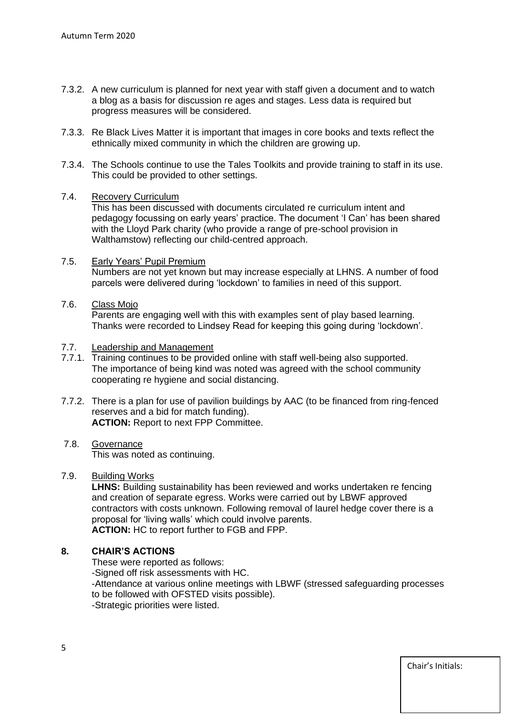- 7.3.2. A new curriculum is planned for next year with staff given a document and to watch a blog as a basis for discussion re ages and stages. Less data is required but progress measures will be considered.
- 7.3.3. Re Black Lives Matter it is important that images in core books and texts reflect the ethnically mixed community in which the children are growing up.
- 7.3.4. The Schools continue to use the Tales Toolkits and provide training to staff in its use. This could be provided to other settings.

### 7.4. Recovery Curriculum

This has been discussed with documents circulated re curriculum intent and pedagogy focussing on early years' practice. The document 'I Can' has been shared with the Lloyd Park charity (who provide a range of pre-school provision in Walthamstow) reflecting our child-centred approach.

- 7.5. Early Years' Pupil Premium Numbers are not yet known but may increase especially at LHNS. A number of food parcels were delivered during 'lockdown' to families in need of this support.
- 7.6. Class Mojo

Parents are engaging well with this with examples sent of play based learning. Thanks were recorded to Lindsey Read for keeping this going during 'lockdown'.

#### 7.7. Leadership and Management

- 7.7.1. Training continues to be provided online with staff well-being also supported. The importance of being kind was noted was agreed with the school community cooperating re hygiene and social distancing.
- 7.7.2. There is a plan for use of pavilion buildings by AAC (to be financed from ring-fenced reserves and a bid for match funding). **ACTION:** Report to next FPP Committee.

#### 7.8. Governance This was noted as continuing.

### 7.9. Building Works

LHNS: Building sustainability has been reviewed and works undertaken re fencing and creation of separate egress. Works were carried out by LBWF approved contractors with costs unknown. Following removal of laurel hedge cover there is a proposal for 'living walls' which could involve parents. **ACTION:** HC to report further to FGB and FPP.

### **8. CHAIR'S ACTIONS**

These were reported as follows: -Signed off risk assessments with HC. -Attendance at various online meetings with LBWF (stressed safeguarding processes to be followed with OFSTED visits possible). -Strategic priorities were listed.